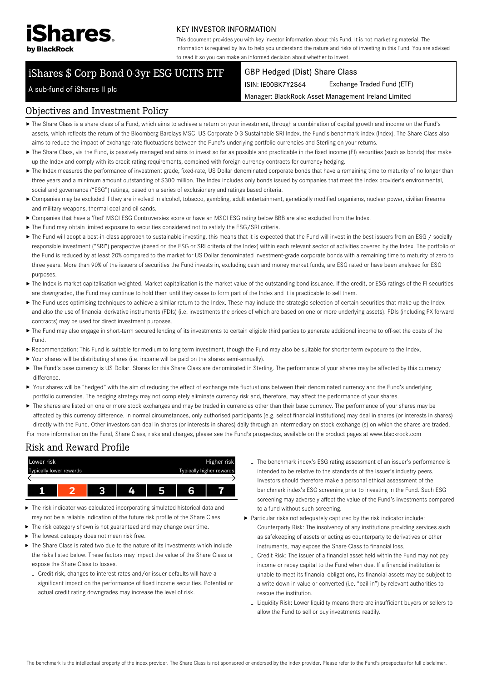

#### KEY INVESTOR INFORMATION

This document provides you with key investor information about this Fund. It is not marketing material. The information is required by law to help you understand the nature and risks of investing in this Fund. You are advised to read it so you can make an informed decision about whether to invest.

# iShares \$ Corp Bond 0-3yr ESG UCITS ETF

#### GBP Hedged (Dist) Share Class

ISIN: IE00BK7Y2S64 Exchange Traded Fund (ETF)

Manager: BlackRock Asset Management Ireland Limited

## A sub-fund of iShares II plc

### Objectives and Investment Policy

- The Share Class is a share class of a Fund, which aims to achieve a return on your investment, through a combination of capital growth and income on the Fund's assets, which reflects the return of the Bloomberg Barclays MSCI US Corporate 0-3 Sustainable SRI Index, the Fund's benchmark index (Index). The Share Class also aims to reduce the impact of exchange rate fluctuations between the Fund's underlying portfolio currencies and Sterling on your returns.
- ▶ The Share Class, via the Fund, is passively managed and aims to invest so far as possible and practicable in the fixed income (FI) securities (such as bonds) that make up the Index and comply with its credit rating requirements, combined with foreign currency contracts for currency hedging.
- ▶ The Index measures the performance of investment grade, fixed-rate, US Dollar denominated corporate bonds that have a remaining time to maturity of no longer than three years and a minimum amount outstanding of \$300 million. The Index includes only bonds issued by companies that meet the index provider's environmental, social and governance ("ESG") ratings, based on a series of exclusionary and ratings based criteria.
- Companies may be excluded if they are involved in alcohol, tobacco, gambling, adult entertainment, genetically modified organisms, nuclear power, civilian firearms and military weapons, thermal coal and oil sands.
- Companies that have a 'Red' MSCI ESG Controversies score or have an MSCI ESG rating below BBB are also excluded from the Index.
- ▶ The Fund may obtain limited exposure to securities considered not to satisfy the ESG/SRI criteria.
- ▶ The Fund will adopt a best-in-class approach to sustainable investing, this means that it is expected that the Fund will invest in the best issuers from an ESG / socially responsible investment ("SRI") perspective (based on the ESG or SRI criteria of the Index) within each relevant sector of activities covered by the Index. The portfolio of the Fund is reduced by at least 20% compared to the market for US Dollar denominated investment-grade corporate bonds with a remaining time to maturity of zero to three years. More than 90% of the issuers of securities the Fund invests in, excluding cash and money market funds, are ESG rated or have been analysed for ESG purposes.
- ▶ The Index is market capitalisation weighted. Market capitalisation is the market value of the outstanding bond issuance. If the credit, or ESG ratings of the FI securities are downgraded, the Fund may continue to hold them until they cease to form part of the Index and it is practicable to sell them.
- ▶ The Fund uses optimising techniques to achieve a similar return to the Index. These may include the strategic selection of certain securities that make up the Index and also the use of financial derivative instruments (FDIs) (i.e. investments the prices of which are based on one or more underlying assets). FDIs (including FX forward contracts) may be used for direct investment purposes.
- ▶ The Fund may also engage in short-term secured lending of its investments to certain eligible third parties to generate additional income to off-set the costs of the Fund.
- Recommendation: This Fund is suitable for medium to long term investment, though the Fund may also be suitable for shorter term exposure to the Index.
- Your shares will be distributing shares (i.e. income will be paid on the shares semi-annually).
- ▶ The Fund's base currency is US Dollar. Shares for this Share Class are denominated in Sterling. The performance of your shares may be affected by this currency difference.
- ▶ Your shares will be "hedged" with the aim of reducing the effect of exchange rate fluctuations between their denominated currency and the Fund's underlying portfolio currencies. The hedging strategy may not completely eliminate currency risk and, therefore, may affect the performance of your shares.
- ▶ The shares are listed on one or more stock exchanges and may be traded in currencies other than their base currency. The performance of your shares may be affected by this currency difference. In normal circumstances, only authorised participants (e.g. select financial institutions) may deal in shares (or interests in shares) directly with the Fund. Other investors can deal in shares (or interests in shares) daily through an intermediary on stock exchange (s) on which the shares are traded. For more information on the Fund, Share Class, risks and charges, please see the Fund's prospectus, available on the product pages at www.blackrock.com

# Risk and Reward Profile



- The risk indicator was calculated incorporating simulated historical data and may not be a reliable indication of the future risk profile of the Share Class.
- The risk category shown is not guaranteed and may change over time.
- The lowest category does not mean risk free.
- The Share Class is rated two due to the nature of its investments which include the risks listed below. These factors may impact the value of the Share Class or expose the Share Class to losses.
- Credit risk, changes to interest rates and/or issuer defaults will have a significant impact on the performance of fixed income securities. Potential or actual credit rating downgrades may increase the level of risk.
- The benchmark index's ESG rating assessment of an issuer's performance is intended to be relative to the standards of the issuer's industry peers. Investors should therefore make a personal ethical assessment of the benchmark index's ESG screening prior to investing in the Fund. Such ESG screening may adversely affect the value of the Fund's investments compared to a fund without such screening.
- Particular risks not adequately captured by the risk indicator include:
	- Counterparty Risk: The insolvency of any institutions providing services such as safekeeping of assets or acting as counterparty to derivatives or other instruments, may expose the Share Class to financial loss.
	- Credit Risk: The issuer of a financial asset held within the Fund may not pay income or repay capital to the Fund when due. If a financial institution is unable to meet its financial obligations, its financial assets may be subject to a write down in value or converted (i.e. "bail-in") by relevant authorities to rescue the institution.
	- Liquidity Risk: Lower liquidity means there are insufficient buyers or sellers to allow the Fund to sell or buy investments readily.